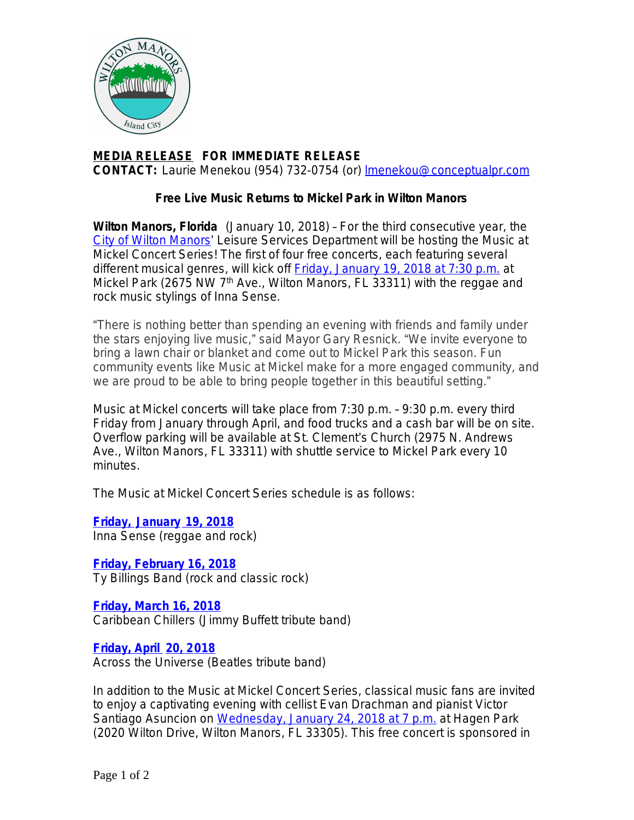

## **MEDIA RELEASE FOR IMMEDIATE RELEASE CONTACT:** Laurie Menekou (954) 732-0754 (or) [lmenekou@conceptualpr.com](mailto:lmenekou@conceptualpr.com)

## **Free Live Music Returns to Mickel Park in Wilton Manors**

**Wilton Manors, Florida** (January 10, 2018) – For the third consecutive year, the [City of Wilton Manors](http://www.wiltonmanors.com/)' Leisure Services Department will be hosting the Music at Mickel Concert Series! The first of four free concerts, each featuring several different musical genres, will kick off **Friday**, January 19, 2018 at 7:30 p.m. at Mickel Park (2675 NW 7<sup>th</sup> Ave., Wilton Manors, FL 33311) with the reggae and rock music stylings of Inna Sense.

"There is nothing better than spending an evening with friends and family under the stars enjoying live music," said Mayor Gary Resnick. "We invite everyone to bring a lawn chair or blanket and come out to Mickel Park this season. Fun community events like Music at Mickel make for a more engaged community, and we are proud to be able to bring people together in this beautiful setting."

Music at Mickel concerts will take place from 7:30 p.m. – 9:30 p.m. every third Friday from January through April, and food trucks and a cash bar will be on site. Overflow parking will be available at St. Clement's Church (2975 N. Andrews Ave., Wilton Manors, FL 33311) with shuttle service to Mickel Park every 10 minutes.

The Music at Mickel Concert Series schedule is as follows:

**[Friday, January 19, 2018](http://bit.ly/MickelJan18)** [Inna Sense \(reggae and rock\)](http://bit.ly/MickelJan18)

**[Friday, February 16, 2018](http://bit.ly/MickelFeb18)** [Ty Billings Band \(rock and classic rock\)](http://bit.ly/MickelFeb18)

**[Friday, March 16, 2018](http://bit.ly/MickelMarch18)** Caribbean Chillers (Jimmy Buffett tribute band)

**[Friday, April 20, 2018](http://bit.ly/MickelApril18)** [Across the Universe \(Beatles tribute band\)](http://bit.ly/MickelApril18)

[In addition to the Music at Mickel Concert Series, classical music fans are invited](http://bit.ly/MickelApril18)  [to enjoy a captivating evening with cellist Evan Drachman and pianist Victor](http://bit.ly/MickelApril18)  [Santiago Asuncion on](http://bit.ly/MickelApril18) [Wednesday, January 24, 2018 at 7 p.m.](http://bit.ly/WiltonClassical18) at Hagen Park (2020 Wilton Drive, Wilton Manors, FL 33305). This free concert is sponsored in